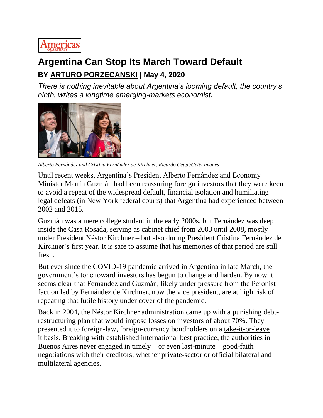

## **Argentina Can Stop Its March Toward Default BY [ARTURO PORZECANSKI](https://www.americasquarterly.org/content/arturo-porzecanski) | May 4, 2020**

*There is nothing inevitable about Argentina's looming default, the country's ninth, writes a longtime emerging-markets economist.*



*Alberto Fernández and Cristina Fernández de Kirchner, Ricardo Ceppi/Getty Images*

Until recent weeks, Argentina's President Alberto Fernández and Economy Minister Martín Guzmán had been reassuring foreign investors that they were keen to avoid a repeat of the widespread default, financial isolation and humiliating legal defeats (in New York federal courts) that Argentina had experienced between 2002 and 2015.

Guzmán was a mere college student in the early 2000s, but Fernández was deep inside the Casa Rosada, serving as cabinet chief from 2003 until 2008, mostly under President Néstor Kirchner – but also during President Cristina Fernández de Kirchner's first year. It is safe to assume that his memories of that period are still fresh.

But ever since the COVID-19 [pandemic](https://www.as-coa.org/articles/where-coronavirus-latin-america#argentina) arrived in Argentina in late March, the government's tone toward investors has begun to change and harden. By now it seems clear that Fernández and Guzmán, likely under pressure from the Peronist faction led by Fernández de Kirchner, now the vice president, are at high risk of repeating that futile history under cover of the pandemic.

Back in 2004, the Néstor Kirchner administration came up with a punishing debtrestructuring plan that would impose losses on investors of about 70%. They presented it to foreign-law, foreign-currency bondholders on a [take-it-or-leave](https://ir.lawnet.fordham.edu/cgi/viewcontent.cgi?article=2464&context=ilj) [it](https://ir.lawnet.fordham.edu/cgi/viewcontent.cgi?article=2464&context=ilj) basis. Breaking with established international best practice, the authorities in Buenos Aires never engaged in timely – or even last-minute – good-faith negotiations with their creditors, whether private-sector or official bilateral and multilateral agencies.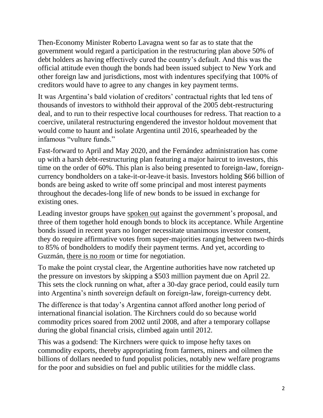Then-Economy Minister Roberto Lavagna went so far as to state that the government would regard a participation in the restructuring plan above 50% of debt holders as having effectively cured the country's default. And this was the official attitude even though the bonds had been issued subject to New York and other foreign law and jurisdictions, most with indentures specifying that 100% of creditors would have to agree to any changes in key payment terms.

It was Argentina's bald violation of creditors' contractual rights that led tens of thousands of investors to withhold their approval of the 2005 debt-restructuring deal, and to run to their respective local courthouses for redress. That reaction to a coercive, unilateral restructuring engendered the investor holdout movement that would come to haunt and isolate Argentina until 2016, spearheaded by the infamous "vulture funds."

Fast-forward to April and May 2020, and the Fernández administration has come up with a harsh debt-restructuring plan featuring a major haircut to investors, this time on the order of 60%. This plan is also being presented to foreign-law, foreigncurrency bondholders on a take-it-or-leave-it basis. Investors holding \$66 billion of bonds are being asked to write off some principal and most interest payments throughout the decades-long life of new bonds to be issued in exchange for existing ones.

Leading investor groups have [spoken](https://www.bloomberg.com/news/articles/2020-04-20/argentina-debt-offer-panned-with-bondholders-girding-for-battle?sref=YOzd6RQQ) out against the government's proposal, and three of them together hold enough bonds to block its acceptance. While Argentine bonds issued in recent years no longer necessitate unanimous investor consent, they do require affirmative votes from super-majorities ranging between two-thirds to 85% of bondholders to modify their payment terms. And yet, according to Guzmán, there is no [room](https://www.pagina12.com.ar/262564-martin-guzman-hicimos-una-oferta-a-los-acreedores-que-la-arg) or time for negotiation.

To make the point crystal clear, the Argentine authorities have now ratcheted up the pressure on investors by skipping a \$503 million payment due on April 22. This sets the clock running on what, after a 30-day grace period, could easily turn into Argentina's ninth sovereign default on foreign-law, foreign-currency debt.

The difference is that today's Argentina cannot afford another long period of international financial isolation. The Kirchners could do so because world commodity prices soared from 2002 until 2008, and after a temporary collapse during the global financial crisis, climbed again until 2012.

This was a godsend: The Kirchners were quick to impose hefty taxes on commodity exports, thereby appropriating from farmers, miners and oilmen the billions of dollars needed to fund populist policies, notably new welfare programs for the poor and subsidies on fuel and public utilities for the middle class.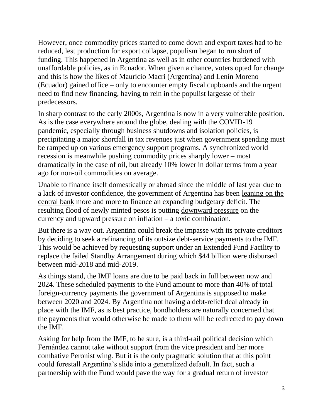However, once commodity prices started to come down and export taxes had to be reduced, lest production for export collapse, populism began to run short of funding. This happened in Argentina as well as in other countries burdened with unaffordable policies, as in Ecuador. When given a chance, voters opted for change and this is how the likes of Mauricio Macri (Argentina) and Lenín Moreno (Ecuador) gained office – only to encounter empty fiscal cupboards and the urgent need to find new financing, having to rein in the populist largesse of their predecessors.

In sharp contrast to the early 2000s, Argentina is now in a very vulnerable position. As is the case everywhere around the globe, dealing with the COVID-19 pandemic, especially through business shutdowns and isolation policies, is precipitating a major shortfall in tax revenues just when government spending must be ramped up on various emergency support programs. A synchronized world recession is meanwhile pushing commodity prices sharply lower – most dramatically in the case of oil, but already 10% lower in dollar terms from a year ago for non-oil commodities on average.

Unable to finance itself domestically or abroad since the middle of last year due to a lack of investor confidence, the government of Argentina has been [leaning](https://www.bloomberg.com/news/articles/2020-04-21/cut-off-from-credit-argentina-gets-central-bank-to-pay-bills?sref=YOzd6RQQ) on the [central](https://www.bloomberg.com/news/articles/2020-04-21/cut-off-from-credit-argentina-gets-central-bank-to-pay-bills?sref=YOzd6RQQ) bank more and more to finance an expanding budgetary deficit. The resulting flood of newly minted pesos is putting [downward](https://www.bloomberg.com/news/articles/2020-04-23/argentines-flock-to-black-market-dollars-as-economic-woes-mount?sref=YOzd6RQQ) pressure on the currency and upward pressure on inflation – a toxic combination.

But there is a way out. Argentina could break the impasse with its private creditors by deciding to seek a refinancing of its outsize debt-service payments to the IMF. This would be achieved by requesting support under an Extended Fund Facility to replace the failed Standby Arrangement during which \$44 billion were disbursed between mid-2018 and mid-2019.

As things stand, the IMF loans are due to be paid back in full between now and 2024. These scheduled payments to the Fund amount to [more](https://www.imf.org/~/media/Files/Publications/CR/2020/English/1ARGEA2020001.ashx) than 40% of total foreign-currency payments the government of Argentina is supposed to make between 2020 and 2024. By Argentina not having a debt-relief deal already in place with the IMF, as is best practice, bondholders are naturally concerned that the payments that would otherwise be made to them will be redirected to pay down the IMF.

Asking for help from the IMF, to be sure, is a third-rail political decision which Fernández cannot take without support from the vice president and her more combative Peronist wing. But it is the only pragmatic solution that at this point could forestall Argentina's slide into a generalized default. In fact, such a partnership with the Fund would pave the way for a gradual return of investor